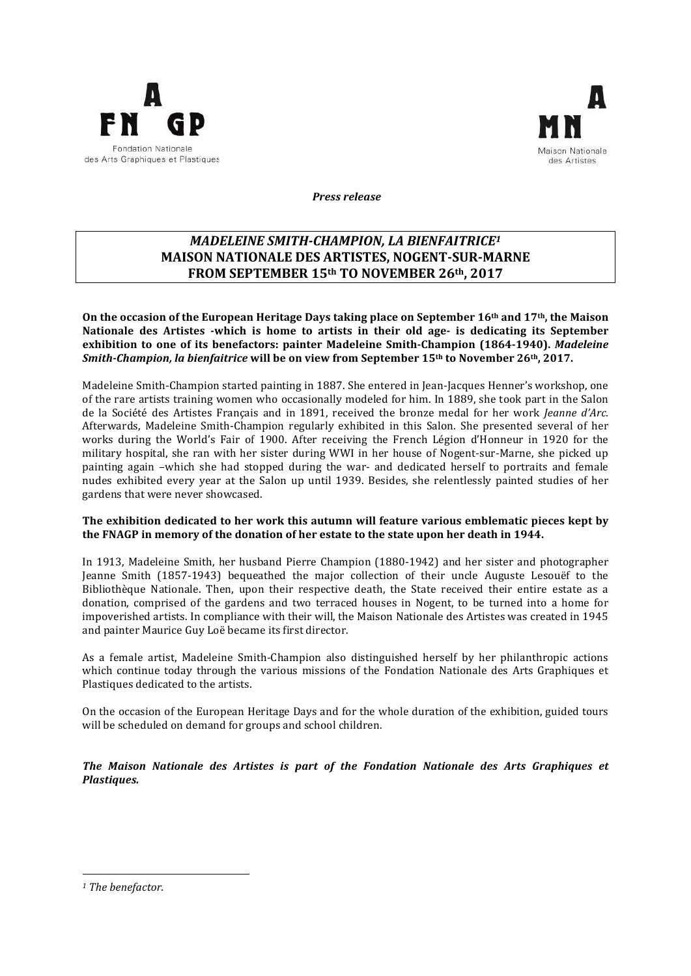



 *Press release* 

# *MADELEINE SMITH-CHAMPION, LA BIENFAITRICE<sup>1</sup>* **MAISON NATIONALE DES ARTISTES, NOGENT-SUR-MARNE FROM SEPTEMBER 15th TO NOVEMBER 26th, 2017**

On the occasion of the European Heritage Days taking place on September 16<sup>th</sup> and 17<sup>th</sup>, the Maison Nationale des Artistes *-which* is home to artists in their old age- is dedicating its September **exhibition to one of its benefactors: painter Madeleine Smith-Champion (1864-1940).** *Madeleine Smith-Champion, la bienfaitrice* will be on view from September 15<sup>th</sup> to November 26<sup>th</sup>, 2017.

Madeleine Smith-Champion started painting in 1887. She entered in Jean-Jacques Henner's workshop, one of the rare artists training women who occasionally modeled for him. In 1889, she took part in the Salon de la Société des Artistes Français and in 1891, received the bronze medal for her work *Jeanne d'Arc.* Afterwards, Madeleine Smith-Champion regularly exhibited in this Salon. She presented several of her works during the World's Fair of 1900. After receiving the French Légion d'Honneur in 1920 for the military hospital, she ran with her sister during WWI in her house of Nogent-sur-Marne, she picked up painting again -which she had stopped during the war- and dedicated herself to portraits and female nudes exhibited every year at the Salon up until 1939. Besides, she relentlessly painted studies of her gardens that were never showcased.

## The exhibition dedicated to her work this autumn will feature various emblematic pieces kept by the FNAGP in memory of the donation of her estate to the state upon her death in 1944.

In 1913, Madeleine Smith, her husband Pierre Champion (1880-1942) and her sister and photographer Jeanne Smith (1857-1943) bequeathed the major collection of their uncle Auguste Lesouëf to the Bibliothèque Nationale. Then, upon their respective death, the State received their entire estate as a donation, comprised of the gardens and two terraced houses in Nogent, to be turned into a home for impoverished artists. In compliance with their will, the Maison Nationale des Artistes was created in 1945 and painter Maurice Guy Loë became its first director.

As a female artist, Madeleine Smith-Champion also distinguished herself by her philanthropic actions which continue today through the various missions of the Fondation Nationale des Arts Graphiques et Plastiques dedicated to the artists.

On the occasion of the European Heritage Days and for the whole duration of the exhibition, guided tours will be scheduled on demand for groups and school children.

The Maison Nationale des Artistes is part of the Fondation Nationale des Arts Graphiques et *Plastiques.*

<u> 1989 - Johann Barn, mars ann an t-Aonaich an t-Aonaich an t-Aonaich an t-Aonaich an t-Aonaich ann an t-Aonaich</u>

<sup>&</sup>lt;sup>1</sup> The benefactor.